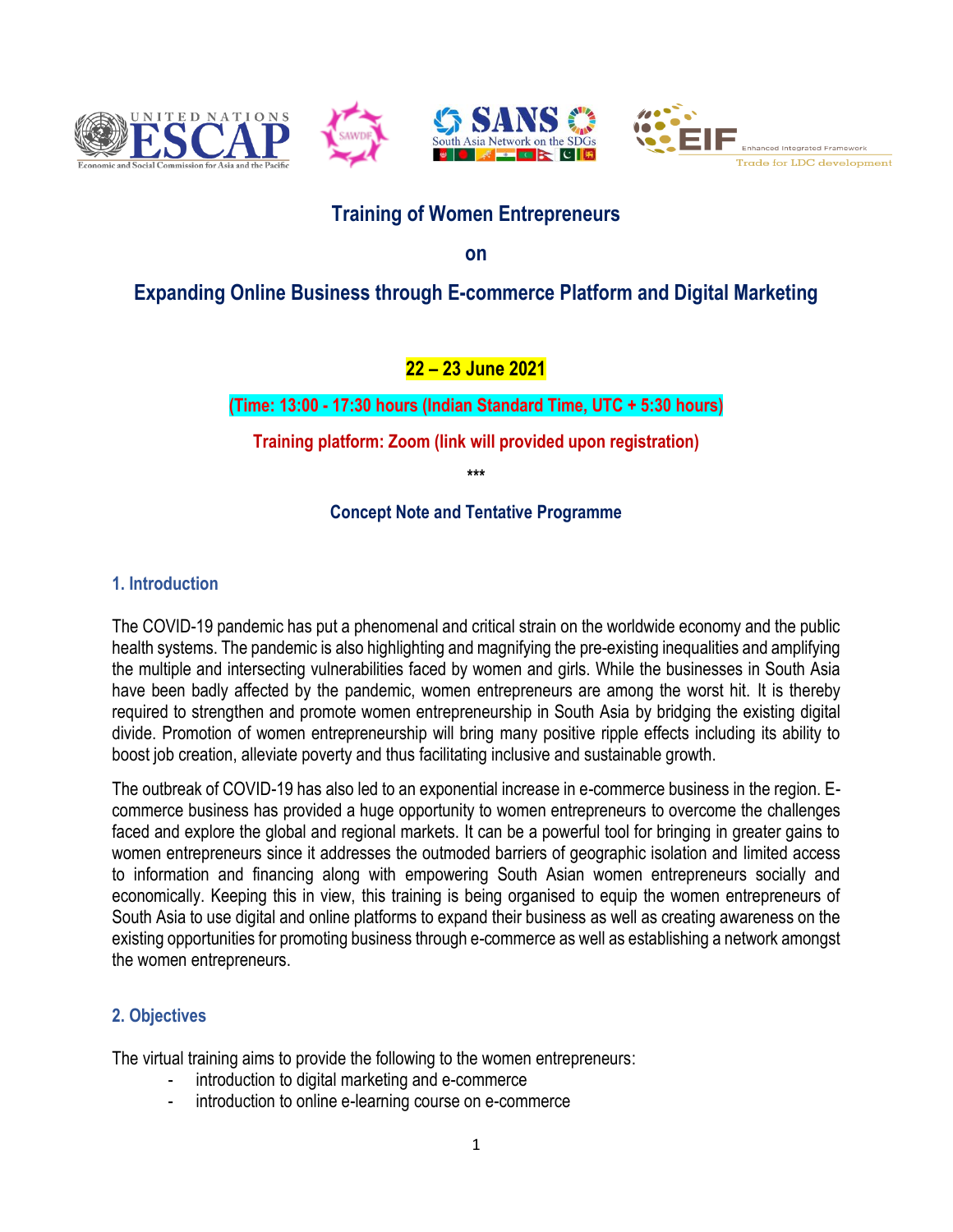







# **Training of Women Entrepreneurs**

**on** 

# **Expanding Online Business through E-commerce Platform and Digital Marketing**

## **22 – 23 June 2021**

### **(Time: 13:00 - 17:30 hours (Indian Standard Time, UTC + 5:30 hours)**

**Training platform: Zoom (link will provided upon registration)**

**\*\*\*** 

#### **Concept Note and Tentative Programme**

### **1. Introduction**

The COVID-19 pandemic has put a phenomenal and critical strain on the worldwide economy and the public health systems. The pandemic is also highlighting and magnifying the pre-existing inequalities and amplifying the multiple and intersecting vulnerabilities faced by women and girls. While the businesses in South Asia have been badly affected by the pandemic, women entrepreneurs are among the worst hit. It is thereby required to strengthen and promote women entrepreneurship in South Asia by bridging the existing digital divide. Promotion of women entrepreneurship will bring many positive ripple effects including its ability to boost job creation, alleviate poverty and thus facilitating inclusive and sustainable growth.

The outbreak of COVID-19 has also led to an exponential increase in e-commerce business in the region. Ecommerce business has provided a huge opportunity to women entrepreneurs to overcome the challenges faced and explore the global and regional markets. It can be a powerful tool for bringing in greater gains to women entrepreneurs since it addresses the outmoded barriers of geographic isolation and limited access to information and financing along with empowering South Asian women entrepreneurs socially and economically. Keeping this in view, this training is being organised to equip the women entrepreneurs of South Asia to use digital and online platforms to expand their business as well as creating awareness on the existing opportunities for promoting business through e-commerce as well as establishing a network amongst the women entrepreneurs.

#### **2. Objectives**

The virtual training aims to provide the following to the women entrepreneurs:

- introduction to digital marketing and e-commerce
- introduction to online e-learning course on e-commerce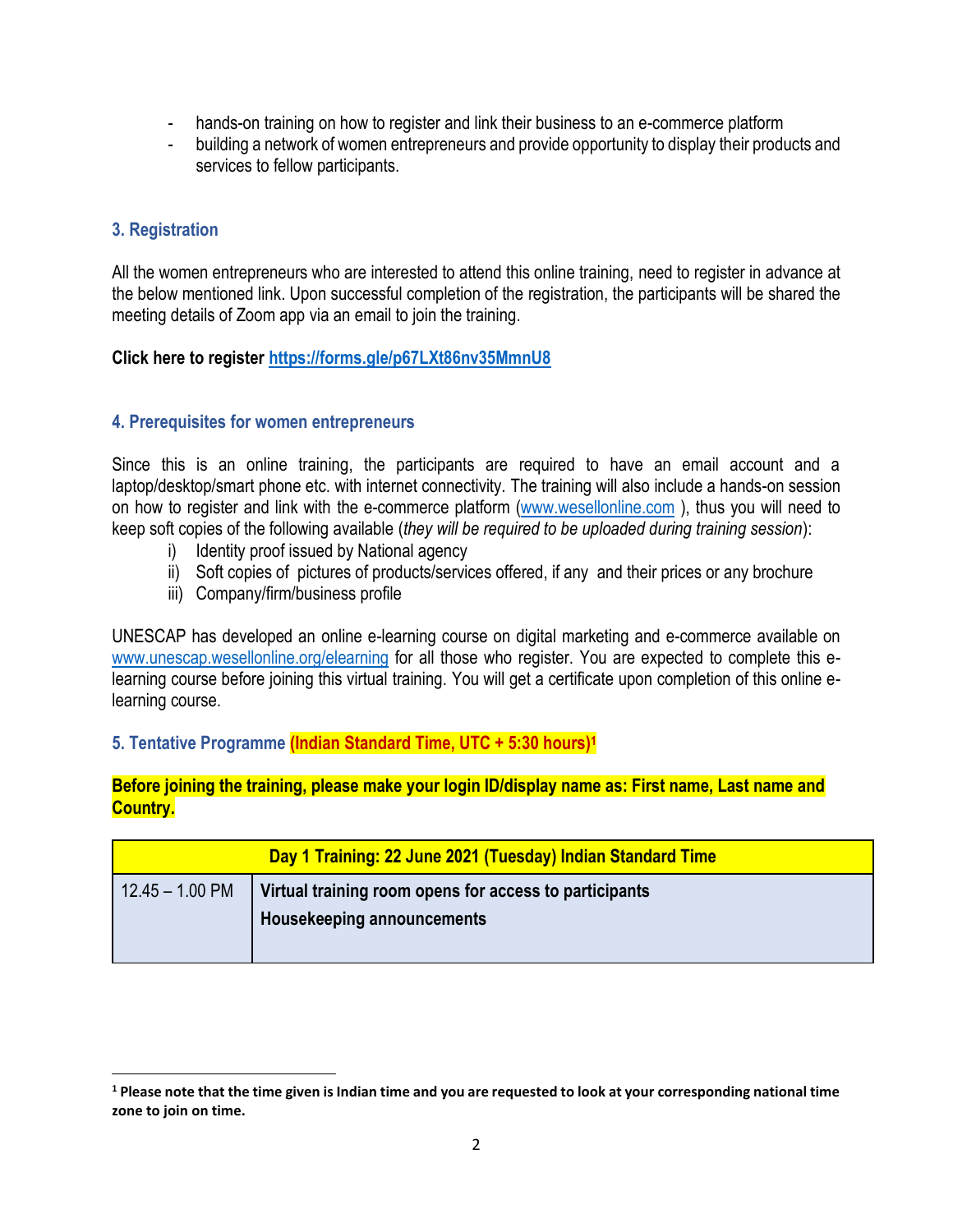- hands-on training on how to register and link their business to an e-commerce platform
- building a network of women entrepreneurs and provide opportunity to display their products and services to fellow participants.

#### **3. Registration**

 $\overline{\phantom{a}}$ 

All the women entrepreneurs who are interested to attend this online training, need to register in advance at the below mentioned link. Upon successful completion of the registration, the participants will be shared the meeting details of Zoom app via an email to join the training.

**Click here to register<https://forms.gle/p67LXt86nv35MmnU8>**

#### **4. Prerequisites for women entrepreneurs**

Since this is an online training, the participants are required to have an email account and a laptop/desktop/smart phone etc. with internet connectivity. The training will also include a hands-on session on how to register and link with the e-commerce platform [\(www.wesellonline.com](http://www.wesellonline.com/) ), thus you will need to keep soft copies of the following available (*they will be required to be uploaded during training session*):

- i) Identity proof issued by National agency
- ii) Soft copies of pictures of products/services offered, if any and their prices or any brochure
- iii) Company/firm/business profile

UNESCAP has developed an online e-learning course on digital marketing and e-commerce available on [www.unescap.wesellonline.org/](http://www.unescap.wesellonline.org/)elearning for all those who register. You are expected to complete this elearning course before joining this virtual training. You will get a certificate upon completion of this online elearning course.

**5. Tentative Programme (Indian Standard Time, UTC + 5:30 hours)<sup>1</sup>**

**Before joining the training, please make your login ID/display name as: First name, Last name and Country.**

| Day 1 Training: 22 June 2021 (Tuesday) Indian Standard Time |                                                                                      |  |
|-------------------------------------------------------------|--------------------------------------------------------------------------------------|--|
| $12.45 - 1.00$ PM                                           | Virtual training room opens for access to participants<br>Housekeeping announcements |  |

**<sup>1</sup> Please note that the time given is Indian time and you are requested to look at your corresponding national time zone to join on time.**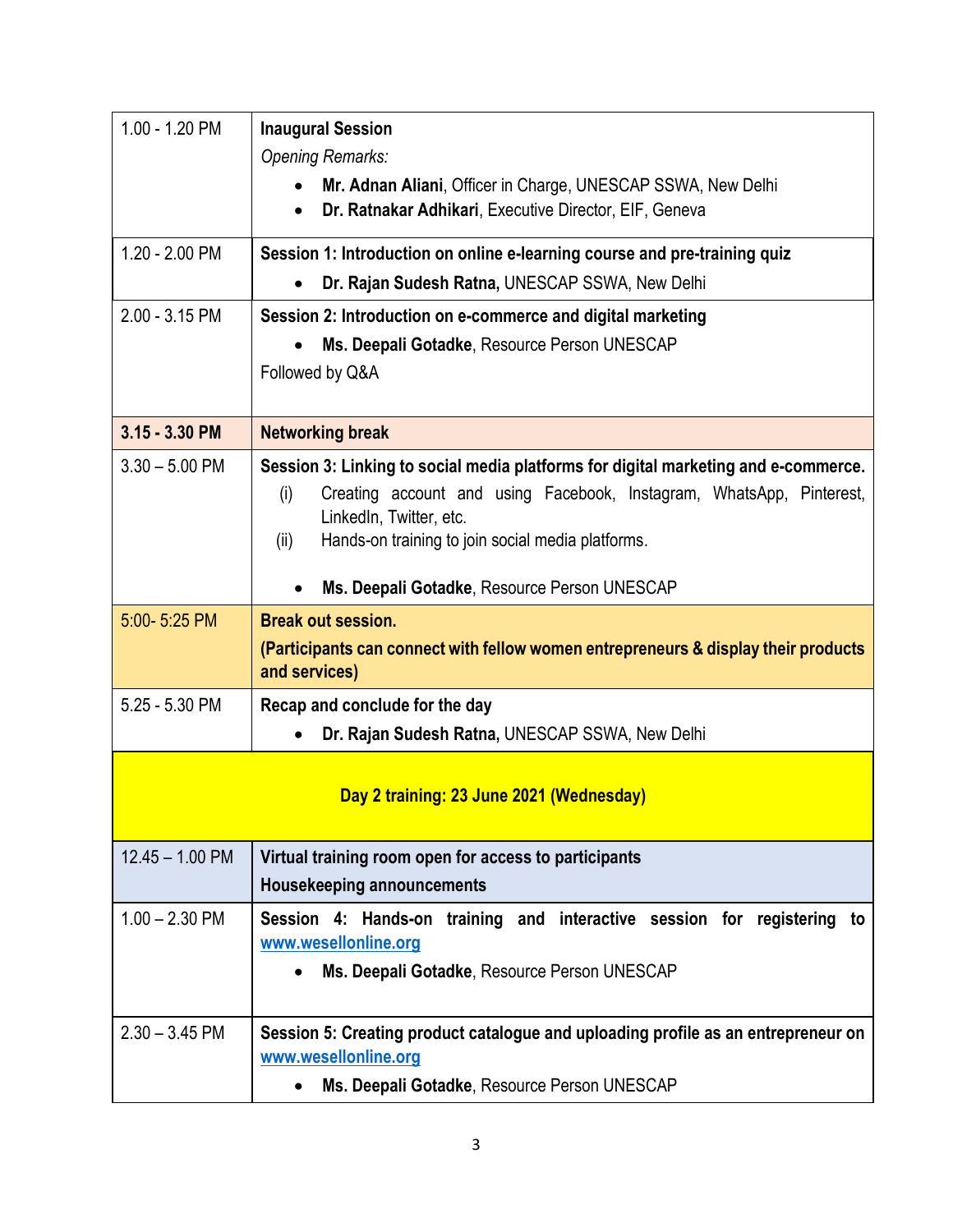| 1.00 - 1.20 PM                           | <b>Inaugural Session</b>                                                                                                                         |  |
|------------------------------------------|--------------------------------------------------------------------------------------------------------------------------------------------------|--|
|                                          | <b>Opening Remarks:</b>                                                                                                                          |  |
|                                          | Mr. Adnan Aliani, Officer in Charge, UNESCAP SSWA, New Delhi<br>$\bullet$<br>Dr. Ratnakar Adhikari, Executive Director, EIF, Geneva<br>$\bullet$ |  |
| 1.20 - 2.00 PM                           | Session 1: Introduction on online e-learning course and pre-training quiz                                                                        |  |
|                                          | Dr. Rajan Sudesh Ratna, UNESCAP SSWA, New Delhi<br>$\bullet$                                                                                     |  |
| 2.00 - 3.15 PM                           | Session 2: Introduction on e-commerce and digital marketing                                                                                      |  |
|                                          | Ms. Deepali Gotadke, Resource Person UNESCAP                                                                                                     |  |
|                                          | Followed by Q&A                                                                                                                                  |  |
| 3.15 - 3.30 PM                           | <b>Networking break</b>                                                                                                                          |  |
| $3.30 - 5.00$ PM                         | Session 3: Linking to social media platforms for digital marketing and e-commerce.                                                               |  |
|                                          | Creating account and using Facebook, Instagram, WhatsApp, Pinterest,<br>(i)                                                                      |  |
|                                          | LinkedIn, Twitter, etc.<br>Hands-on training to join social media platforms.<br>(ii)                                                             |  |
|                                          |                                                                                                                                                  |  |
|                                          | Ms. Deepali Gotadke, Resource Person UNESCAP                                                                                                     |  |
| 5:00-5:25 PM                             | <b>Break out session.</b>                                                                                                                        |  |
|                                          | (Participants can connect with fellow women entrepreneurs & display their products<br>and services)                                              |  |
| 5.25 - 5.30 PM                           | Recap and conclude for the day                                                                                                                   |  |
|                                          | Dr. Rajan Sudesh Ratna, UNESCAP SSWA, New Delhi                                                                                                  |  |
|                                          |                                                                                                                                                  |  |
| Day 2 training: 23 June 2021 (Wednesday) |                                                                                                                                                  |  |
| $12.45 - 1.00$ PM                        | Virtual training room open for access to participants                                                                                            |  |
|                                          | <b>Housekeeping announcements</b>                                                                                                                |  |
| $1.00 - 2.30$ PM                         | Session 4: Hands-on training and interactive session for registering<br>to<br>www.wesellonline.org                                               |  |
|                                          | Ms. Deepali Gotadke, Resource Person UNESCAP<br>$\bullet$                                                                                        |  |
|                                          |                                                                                                                                                  |  |
| $2.30 - 3.45$ PM                         | Session 5: Creating product catalogue and uploading profile as an entrepreneur on<br>www.wesellonline.org                                        |  |
|                                          | Ms. Deepali Gotadke, Resource Person UNESCAP<br>$\bullet$                                                                                        |  |